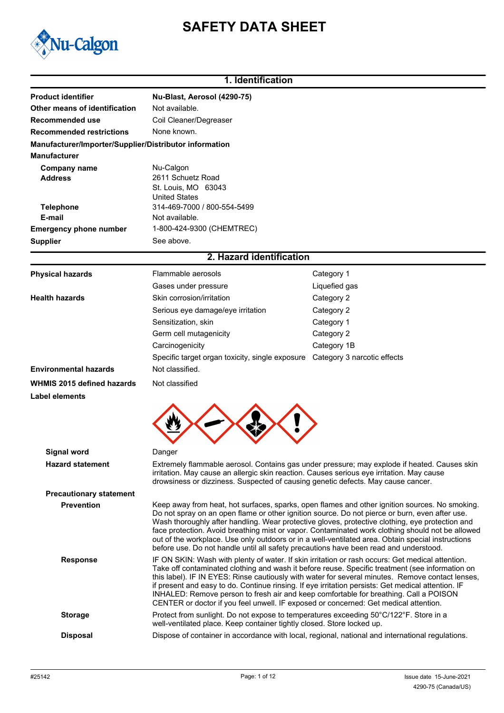# **SAFETY DATA SHEET**



# **1. Identification**

| <b>Product identifier</b>                              | Nu-Blast, Aerosol (4290-75)                                                                                                                                                                                                                                                                                                                                                                                                                                                                                                                                                                           |                                                                                                  |  |  |
|--------------------------------------------------------|-------------------------------------------------------------------------------------------------------------------------------------------------------------------------------------------------------------------------------------------------------------------------------------------------------------------------------------------------------------------------------------------------------------------------------------------------------------------------------------------------------------------------------------------------------------------------------------------------------|--------------------------------------------------------------------------------------------------|--|--|
| Other means of identification                          | Not available.                                                                                                                                                                                                                                                                                                                                                                                                                                                                                                                                                                                        |                                                                                                  |  |  |
| Recommended use                                        | Coil Cleaner/Degreaser                                                                                                                                                                                                                                                                                                                                                                                                                                                                                                                                                                                |                                                                                                  |  |  |
| <b>Recommended restrictions</b>                        | None known.                                                                                                                                                                                                                                                                                                                                                                                                                                                                                                                                                                                           |                                                                                                  |  |  |
| Manufacturer/Importer/Supplier/Distributor information |                                                                                                                                                                                                                                                                                                                                                                                                                                                                                                                                                                                                       |                                                                                                  |  |  |
| <b>Manufacturer</b>                                    |                                                                                                                                                                                                                                                                                                                                                                                                                                                                                                                                                                                                       |                                                                                                  |  |  |
| <b>Company name</b><br><b>Address</b>                  | Nu-Calgon<br>2611 Schuetz Road<br>St. Louis, MO 63043<br><b>United States</b>                                                                                                                                                                                                                                                                                                                                                                                                                                                                                                                         |                                                                                                  |  |  |
| <b>Telephone</b>                                       | 314-469-7000 / 800-554-5499                                                                                                                                                                                                                                                                                                                                                                                                                                                                                                                                                                           |                                                                                                  |  |  |
| E-mail                                                 | Not available.                                                                                                                                                                                                                                                                                                                                                                                                                                                                                                                                                                                        |                                                                                                  |  |  |
| <b>Emergency phone number</b>                          | 1-800-424-9300 (CHEMTREC)                                                                                                                                                                                                                                                                                                                                                                                                                                                                                                                                                                             |                                                                                                  |  |  |
| <b>Supplier</b>                                        | See above.                                                                                                                                                                                                                                                                                                                                                                                                                                                                                                                                                                                            |                                                                                                  |  |  |
|                                                        | 2. Hazard identification                                                                                                                                                                                                                                                                                                                                                                                                                                                                                                                                                                              |                                                                                                  |  |  |
| <b>Physical hazards</b>                                | Flammable aerosols                                                                                                                                                                                                                                                                                                                                                                                                                                                                                                                                                                                    | Category 1                                                                                       |  |  |
|                                                        | Gases under pressure                                                                                                                                                                                                                                                                                                                                                                                                                                                                                                                                                                                  | Liquefied gas                                                                                    |  |  |
| <b>Health hazards</b>                                  | Skin corrosion/irritation                                                                                                                                                                                                                                                                                                                                                                                                                                                                                                                                                                             | Category 2                                                                                       |  |  |
|                                                        | Serious eye damage/eye irritation                                                                                                                                                                                                                                                                                                                                                                                                                                                                                                                                                                     | Category 2                                                                                       |  |  |
|                                                        | Sensitization, skin                                                                                                                                                                                                                                                                                                                                                                                                                                                                                                                                                                                   | Category 1                                                                                       |  |  |
|                                                        | Germ cell mutagenicity                                                                                                                                                                                                                                                                                                                                                                                                                                                                                                                                                                                | Category 2                                                                                       |  |  |
|                                                        | Carcinogenicity                                                                                                                                                                                                                                                                                                                                                                                                                                                                                                                                                                                       | Category 1B                                                                                      |  |  |
|                                                        | Specific target organ toxicity, single exposure  Category 3 narcotic effects                                                                                                                                                                                                                                                                                                                                                                                                                                                                                                                          |                                                                                                  |  |  |
| <b>Environmental hazards</b>                           | Not classified.                                                                                                                                                                                                                                                                                                                                                                                                                                                                                                                                                                                       |                                                                                                  |  |  |
| <b>WHMIS 2015 defined hazards</b>                      | Not classified                                                                                                                                                                                                                                                                                                                                                                                                                                                                                                                                                                                        |                                                                                                  |  |  |
| <b>Label elements</b>                                  |                                                                                                                                                                                                                                                                                                                                                                                                                                                                                                                                                                                                       |                                                                                                  |  |  |
|                                                        |                                                                                                                                                                                                                                                                                                                                                                                                                                                                                                                                                                                                       |                                                                                                  |  |  |
| Signal word                                            | Danger                                                                                                                                                                                                                                                                                                                                                                                                                                                                                                                                                                                                |                                                                                                  |  |  |
| <b>Hazard statement</b>                                | Extremely flammable aerosol. Contains gas under pressure; may explode if heated. Causes skin<br>irritation. May cause an allergic skin reaction. Causes serious eye irritation. May cause<br>drowsiness or dizziness. Suspected of causing genetic defects. May cause cancer.                                                                                                                                                                                                                                                                                                                         |                                                                                                  |  |  |
| <b>Precautionary statement</b>                         |                                                                                                                                                                                                                                                                                                                                                                                                                                                                                                                                                                                                       |                                                                                                  |  |  |
| <b>Prevention</b>                                      | Keep away from heat, hot surfaces, sparks, open flames and other ignition sources. No smoking.<br>Do not spray on an open flame or other ignition source. Do not pierce or burn, even after use.<br>Wash thoroughly after handling. Wear protective gloves, protective clothing, eye protection and<br>face protection. Avoid breathing mist or vapor. Contaminated work clothing should not be allowed<br>out of the workplace. Use only outdoors or in a well-ventilated area. Obtain special instructions<br>before use. Do not handle until all safety precautions have been read and understood. |                                                                                                  |  |  |
| <b>Response</b>                                        | IF ON SKIN: Wash with plenty of water. If skin irritation or rash occurs: Get medical attention.<br>Take off contaminated clothing and wash it before reuse. Specific treatment (see information on<br>this label). IF IN EYES: Rinse cautiously with water for several minutes. Remove contact lenses,<br>if present and easy to do. Continue rinsing. If eye irritation persists: Get medical attention. IF<br>INHALED: Remove person to fresh air and keep comfortable for breathing. Call a POISON<br>CENTER or doctor if you feel unwell. IF exposed or concerned: Get medical attention.        |                                                                                                  |  |  |
| <b>Storage</b>                                         | Protect from sunlight. Do not expose to temperatures exceeding 50°C/122°F. Store in a<br>well-ventilated place. Keep container tightly closed. Store locked up.                                                                                                                                                                                                                                                                                                                                                                                                                                       |                                                                                                  |  |  |
| <b>Disposal</b>                                        |                                                                                                                                                                                                                                                                                                                                                                                                                                                                                                                                                                                                       | Dispose of container in accordance with local, regional, national and international regulations. |  |  |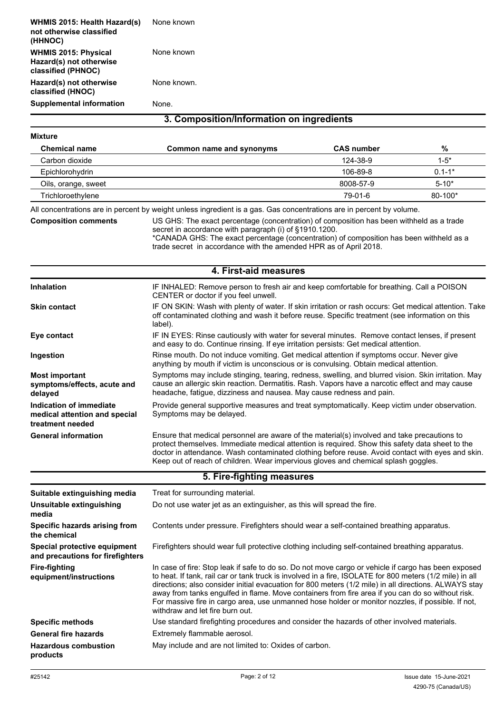| <b>WHMIS 2015: Health Hazard(s)</b><br>not otherwise classified<br>(HHNOC)   | None known  |
|------------------------------------------------------------------------------|-------------|
| <b>WHMIS 2015: Physical</b><br>Hazard(s) not otherwise<br>classified (PHNOC) | None known  |
| Hazard(s) not otherwise<br>classified (HNOC)                                 | None known. |
| <b>Supplemental information</b>                                              | None        |

## **3. Composition/Information on ingredients**

### **Mixture**

| <b>Chemical name</b> | Common name and synonyms | <b>CAS</b> number | %           |
|----------------------|--------------------------|-------------------|-------------|
| Carbon dioxide       |                          | 124-38-9          | $1-5*$      |
| Epichlorohydrin      |                          | 106-89-8          | $0.1 - 1*$  |
| Oils, orange, sweet  |                          | 8008-57-9         | $5 - 10^*$  |
| Trichloroethylene    |                          | 79-01-6           | $80 - 100*$ |

All concentrations are in percent by weight unless ingredient is a gas. Gas concentrations are in percent by volume.

## **Composition comments**

US GHS: The exact percentage (concentration) of composition has been withheld as a trade secret in accordance with paragraph (i) of §1910.1200. \*CANADA GHS: The exact percentage (concentration) of composition has been withheld as a trade secret in accordance with the amended HPR as of April 2018.

## **4. First-aid measures**

| <b>Inhalation</b>                                                            | IF INHALED: Remove person to fresh air and keep comfortable for breathing. Call a POISON<br>CENTER or doctor if you feel unwell.                                                                                                                                                                                                                                                                                                                                                                                                                                     |  |  |
|------------------------------------------------------------------------------|----------------------------------------------------------------------------------------------------------------------------------------------------------------------------------------------------------------------------------------------------------------------------------------------------------------------------------------------------------------------------------------------------------------------------------------------------------------------------------------------------------------------------------------------------------------------|--|--|
| <b>Skin contact</b>                                                          | IF ON SKIN: Wash with plenty of water. If skin irritation or rash occurs: Get medical attention. Take<br>off contaminated clothing and wash it before reuse. Specific treatment (see information on this<br>label).                                                                                                                                                                                                                                                                                                                                                  |  |  |
| Eye contact                                                                  | IF IN EYES: Rinse cautiously with water for several minutes. Remove contact lenses, if present<br>and easy to do. Continue rinsing. If eye irritation persists: Get medical attention.                                                                                                                                                                                                                                                                                                                                                                               |  |  |
| Ingestion                                                                    | Rinse mouth. Do not induce vomiting. Get medical attention if symptoms occur. Never give<br>anything by mouth if victim is unconscious or is convulsing. Obtain medical attention.                                                                                                                                                                                                                                                                                                                                                                                   |  |  |
| <b>Most important</b><br>symptoms/effects, acute and<br>delayed              | Symptoms may include stinging, tearing, redness, swelling, and blurred vision. Skin irritation. May<br>cause an allergic skin reaction. Dermatitis. Rash. Vapors have a narcotic effect and may cause<br>headache, fatigue, dizziness and nausea. May cause redness and pain.                                                                                                                                                                                                                                                                                        |  |  |
| Indication of immediate<br>medical attention and special<br>treatment needed | Provide general supportive measures and treat symptomatically. Keep victim under observation.<br>Symptoms may be delayed.                                                                                                                                                                                                                                                                                                                                                                                                                                            |  |  |
| <b>General information</b>                                                   | Ensure that medical personnel are aware of the material(s) involved and take precautions to<br>protect themselves. Immediate medical attention is required. Show this safety data sheet to the<br>doctor in attendance. Wash contaminated clothing before reuse. Avoid contact with eyes and skin.<br>Keep out of reach of children. Wear impervious gloves and chemical splash goggles.                                                                                                                                                                             |  |  |
|                                                                              | 5. Fire-fighting measures                                                                                                                                                                                                                                                                                                                                                                                                                                                                                                                                            |  |  |
| Suitable extinguishing media                                                 | Treat for surrounding material.                                                                                                                                                                                                                                                                                                                                                                                                                                                                                                                                      |  |  |
| <b>Unsuitable extinguishing</b><br>media                                     | Do not use water jet as an extinguisher, as this will spread the fire.                                                                                                                                                                                                                                                                                                                                                                                                                                                                                               |  |  |
| Specific hazards arising from<br>the chemical                                | Contents under pressure. Firefighters should wear a self-contained breathing apparatus.                                                                                                                                                                                                                                                                                                                                                                                                                                                                              |  |  |
| Special protective equipment<br>and precautions for firefighters             | Firefighters should wear full protective clothing including self-contained breathing apparatus.                                                                                                                                                                                                                                                                                                                                                                                                                                                                      |  |  |
| <b>Fire-fighting</b><br>equipment/instructions                               | In case of fire: Stop leak if safe to do so. Do not move cargo or vehicle if cargo has been exposed<br>to heat. If tank, rail car or tank truck is involved in a fire, ISOLATE for 800 meters (1/2 mile) in all<br>directions; also consider initial evacuation for 800 meters (1/2 mile) in all directions. ALWAYS stay<br>away from tanks engulfed in flame. Move containers from fire area if you can do so without risk.<br>For massive fire in cargo area, use unmanned hose holder or monitor nozzles, if possible. If not,<br>withdraw and let fire burn out. |  |  |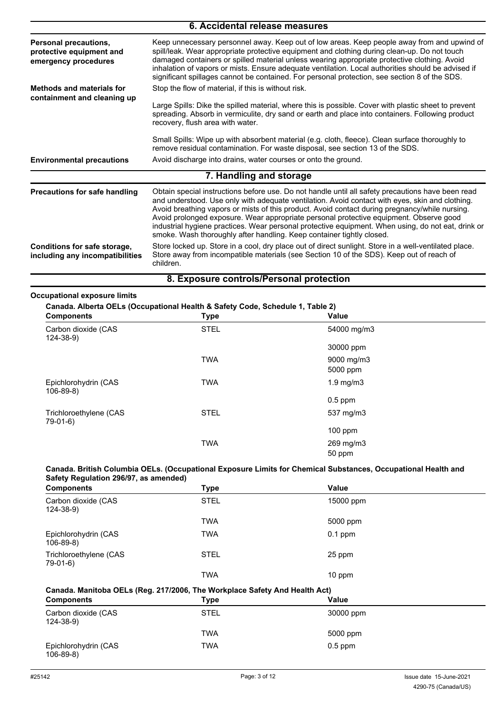| 6. Accidental release measures                                            |                                                                                                                                                                                                                                                                                                                                                                                                                                                                                                    |  |  |
|---------------------------------------------------------------------------|----------------------------------------------------------------------------------------------------------------------------------------------------------------------------------------------------------------------------------------------------------------------------------------------------------------------------------------------------------------------------------------------------------------------------------------------------------------------------------------------------|--|--|
| Personal precautions,<br>protective equipment and<br>emergency procedures | Keep unnecessary personnel away. Keep out of low areas. Keep people away from and upwind of<br>spill/leak. Wear appropriate protective equipment and clothing during clean-up. Do not touch<br>damaged containers or spilled material unless wearing appropriate protective clothing. Avoid<br>inhalation of vapors or mists. Ensure adequate ventilation. Local authorities should be advised if<br>significant spillages cannot be contained. For personal protection, see section 8 of the SDS. |  |  |
| <b>Methods and materials for</b>                                          | Stop the flow of material, if this is without risk.                                                                                                                                                                                                                                                                                                                                                                                                                                                |  |  |
| containment and cleaning up                                               | Large Spills: Dike the spilled material, where this is possible. Cover with plastic sheet to prevent<br>spreading. Absorb in vermiculite, dry sand or earth and place into containers. Following product<br>recovery, flush area with water.                                                                                                                                                                                                                                                       |  |  |
|                                                                           | Small Spills: Wipe up with absorbent material (e.g. cloth, fleece). Clean surface thoroughly to<br>remove residual contamination. For waste disposal, see section 13 of the SDS.                                                                                                                                                                                                                                                                                                                   |  |  |
| <b>Environmental precautions</b>                                          | Avoid discharge into drains, water courses or onto the ground.                                                                                                                                                                                                                                                                                                                                                                                                                                     |  |  |
|                                                                           | 7. Handling and storage                                                                                                                                                                                                                                                                                                                                                                                                                                                                            |  |  |
| Precautions for safe handling                                             | Obtain special instructions before use. Do not handle until all safety precautions have been read<br>and understood. Use only with adequate ventilation. Avoid contact with eyes, skin and clothing.<br>Avoid breathing vapors or mists of this product. Avoid contact during pregnancy/while nursing.                                                                                                                                                                                             |  |  |

Avoid prolonged exposure. Wear appropriate personal protective equipment. Observe good industrial hygiene practices. Wear personal protective equipment. When using, do not eat, drink or smoke. Wash thoroughly after handling. Keep container tightly closed. Store locked up. Store in a cool, dry place out of direct sunlight. Store in a well-ventilated place. **Conditions for safe storage,**

Store away from incompatible materials (see Section 10 of the SDS). Keep out of reach of children. **including any incompatibilities**

## **8. Exposure controls/Personal protection**

#### **Occupational exposure limits**

#### **Canada. Alberta OELs (Occupational Health & Safety Code, Schedule 1, Table 2)**

| $ \frac{1}{2}$ . The state $\frac{1}{2}$ is the set of $\frac{1}{2}$ , $\frac{1}{2}$ , $\frac{1}{2}$ , $\frac{1}{2}$ , $\frac{1}{2}$ , $\frac{1}{2}$ , $\frac{1}{2}$ , $\frac{1}{2}$ , $\frac{1}{2}$ , $\frac{1}{2}$ , $\frac{1}{2}$ , $\frac{1}{2}$ , $\frac{1}{2}$ , $\frac{1}{2}$ , $\frac$<br><b>Components</b> | <b>Type</b> | <b>Value</b>       |  |
|---------------------------------------------------------------------------------------------------------------------------------------------------------------------------------------------------------------------------------------------------------------------------------------------------------------------|-------------|--------------------|--|
| Carbon dioxide (CAS<br>$124 - 38 - 9$                                                                                                                                                                                                                                                                               | <b>STEL</b> | 54000 mg/m3        |  |
|                                                                                                                                                                                                                                                                                                                     |             | 30000 ppm          |  |
|                                                                                                                                                                                                                                                                                                                     | <b>TWA</b>  | 9000 mg/m3         |  |
|                                                                                                                                                                                                                                                                                                                     |             | 5000 ppm           |  |
| Epichlorohydrin (CAS<br>$106 - 89 - 8$                                                                                                                                                                                                                                                                              | <b>TWA</b>  | $1.9 \text{ mg/m}$ |  |
|                                                                                                                                                                                                                                                                                                                     |             | $0.5$ ppm          |  |
| Trichloroethylene (CAS<br>79-01-6)                                                                                                                                                                                                                                                                                  | <b>STEL</b> | 537 mg/m3          |  |
|                                                                                                                                                                                                                                                                                                                     |             | $100$ ppm          |  |
|                                                                                                                                                                                                                                                                                                                     | <b>TWA</b>  | 269 mg/m3          |  |
|                                                                                                                                                                                                                                                                                                                     |             | 50 ppm             |  |

#### **Canada. British Columbia OELs. (Occupational Exposure Limits for Chemical Substances, Occupational Health and Safety Regulation 296/97, as amended)**

| <b>Components</b>                      | Type        | Value     |  |
|----------------------------------------|-------------|-----------|--|
| Carbon dioxide (CAS<br>$124 - 38 - 9$  | <b>STEL</b> | 15000 ppm |  |
|                                        | <b>TWA</b>  | 5000 ppm  |  |
| Epichlorohydrin (CAS<br>$106 - 89 - 8$ | <b>TWA</b>  | $0.1$ ppm |  |
| Trichloroethylene (CAS<br>$79-01-6$    | <b>STEL</b> | 25 ppm    |  |
|                                        | <b>TWA</b>  | 10 ppm    |  |

## **Canada. Manitoba OELs (Reg. 217/2006, The Workplace Safety And Health Act)**

| <b>Components</b>                      | Type        | Value     |  |
|----------------------------------------|-------------|-----------|--|
| Carbon dioxide (CAS<br>$124 - 38 - 9$  | <b>STEL</b> | 30000 ppm |  |
|                                        | <b>TWA</b>  | 5000 ppm  |  |
| Epichlorohydrin (CAS<br>$106 - 89 - 8$ | <b>TWA</b>  | $0.5$ ppm |  |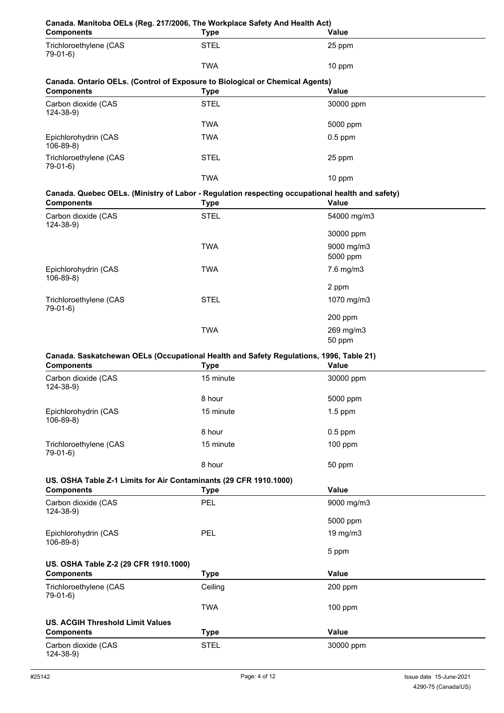| Canada. Manitoba OELs (Reg. 217/2006, The Workplace Safety And Health Act)<br><b>Components</b>                      | <b>Type</b> | <b>Value</b>        |
|----------------------------------------------------------------------------------------------------------------------|-------------|---------------------|
| Trichloroethylene (CAS<br>79-01-6)                                                                                   | <b>STEL</b> | 25 ppm              |
|                                                                                                                      | <b>TWA</b>  | 10 ppm              |
| Canada. Ontario OELs. (Control of Exposure to Biological or Chemical Agents)<br><b>Components</b>                    | <b>Type</b> | Value               |
| Carbon dioxide (CAS<br>$124 - 38 - 9$                                                                                | <b>STEL</b> | 30000 ppm           |
|                                                                                                                      | <b>TWA</b>  | 5000 ppm            |
| Epichlorohydrin (CAS<br>$106 - 89 - 8$                                                                               | <b>TWA</b>  | $0.5$ ppm           |
| Trichloroethylene (CAS<br>79-01-6)                                                                                   | <b>STEL</b> | 25 ppm              |
|                                                                                                                      | <b>TWA</b>  | 10 ppm              |
| Canada. Quebec OELs. (Ministry of Labor - Regulation respecting occupational health and safety)<br><b>Components</b> | <b>Type</b> | <b>Value</b>        |
| Carbon dioxide (CAS<br>$124 - 38 - 9$                                                                                | <b>STEL</b> | 54000 mg/m3         |
|                                                                                                                      |             | 30000 ppm           |
|                                                                                                                      | <b>TWA</b>  | 9000 mg/m3          |
|                                                                                                                      |             | 5000 ppm            |
| Epichlorohydrin (CAS<br>$106-89-8$                                                                                   | <b>TWA</b>  | 7.6 mg/m3           |
|                                                                                                                      |             | 2 ppm               |
| Trichloroethylene (CAS<br>79-01-6)                                                                                   | <b>STEL</b> | 1070 mg/m3          |
|                                                                                                                      |             | 200 ppm             |
|                                                                                                                      | <b>TWA</b>  | 269 mg/m3<br>50 ppm |
| Canada. Saskatchewan OELs (Occupational Health and Safety Regulations, 1996, Table 21)                               |             |                     |
| <b>Components</b>                                                                                                    | Type        | Value               |
| Carbon dioxide (CAS<br>$124 - 38 - 9$                                                                                | 15 minute   | 30000 ppm           |
|                                                                                                                      | 8 hour      | 5000 ppm            |
| Epichlorohydrin (CAS<br>$106-89-8$                                                                                   | 15 minute   | $1.5$ ppm           |
|                                                                                                                      | 8 hour      | $0.5$ ppm           |
| Trichloroethylene (CAS<br>79-01-6)                                                                                   | 15 minute   | 100 ppm             |
|                                                                                                                      | 8 hour      | 50 ppm              |
| US. OSHA Table Z-1 Limits for Air Contaminants (29 CFR 1910.1000)<br><b>Components</b>                               | <b>Type</b> | Value               |
| Carbon dioxide (CAS                                                                                                  | PEL         | 9000 mg/m3          |
| $124 - 38 - 9$                                                                                                       |             | 5000 ppm            |
| Epichlorohydrin (CAS                                                                                                 | PEL         | 19 mg/m3            |
| $106-89-8$                                                                                                           |             | 5 ppm               |
| US. OSHA Table Z-2 (29 CFR 1910.1000)                                                                                |             |                     |
| <b>Components</b>                                                                                                    | <b>Type</b> | Value               |
| Trichloroethylene (CAS<br>79-01-6)                                                                                   | Ceiling     | 200 ppm             |
|                                                                                                                      | <b>TWA</b>  | 100 ppm             |
| <b>US. ACGIH Threshold Limit Values</b>                                                                              |             |                     |
| <b>Components</b>                                                                                                    | <b>Type</b> | Value               |
| Carbon dioxide (CAS<br>$124 - 38 - 9$                                                                                | <b>STEL</b> | 30000 ppm           |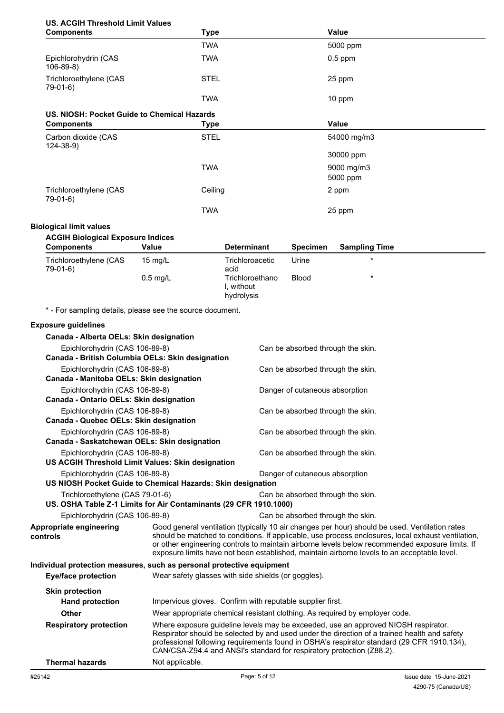## **US. ACGIH Threshold Limit Values**

| <b>Components</b>                           | <b>Type</b> | Value        |  |
|---------------------------------------------|-------------|--------------|--|
|                                             | <b>TWA</b>  | 5000 ppm     |  |
| Epichlorohydrin (CAS<br>$106-89-8$          | <b>TWA</b>  | $0.5$ ppm    |  |
| Trichloroethylene (CAS<br>79-01-6)          | <b>STEL</b> | 25 ppm       |  |
|                                             | <b>TWA</b>  | 10 ppm       |  |
| US. NIOSH: Pocket Guide to Chemical Hazards |             |              |  |
| <b>Components</b>                           | <b>Type</b> | <b>Value</b> |  |
| Carbon dioxide (CAS<br>$124 - 38 - 9$       | <b>STEL</b> | 54000 mg/m3  |  |
|                                             |             | 30000 ppm    |  |
|                                             | <b>TWA</b>  | 9000 mg/m3   |  |
|                                             |             | 5000 ppm     |  |
| Trichloroethylene (CAS<br>79-01-6)          | Ceiling     | 2 ppm        |  |
|                                             | <b>TWA</b>  | 25 ppm       |  |

#### **Biological limit values**

| <b>Components</b>                  | Value             | <b>Determinant</b>                       | <b>Specimen</b> | <b>Sampling Time</b> |
|------------------------------------|-------------------|------------------------------------------|-----------------|----------------------|
| Trichloroethylene (CAS<br>79-01-6) | $15 \text{ mg/L}$ | Trichloroacetic<br>acid                  | Urine           | $\ast$               |
|                                    | $0.5$ mg/L        | Trichloroethano<br>without<br>hydrolysis | <b>Blood</b>    | $\star$              |

\* - For sampling details, please see the source document.

#### **Exposure guidelines**

| Canada - Alberta OELs: Skin designation                               |                                                                             |                                                                                                                                                                                                                                                                                                                                                                                                        |  |
|-----------------------------------------------------------------------|-----------------------------------------------------------------------------|--------------------------------------------------------------------------------------------------------------------------------------------------------------------------------------------------------------------------------------------------------------------------------------------------------------------------------------------------------------------------------------------------------|--|
| Epichlorohydrin (CAS 106-89-8)                                        |                                                                             | Can be absorbed through the skin.                                                                                                                                                                                                                                                                                                                                                                      |  |
| Canada - British Columbia OELs: Skin designation                      |                                                                             |                                                                                                                                                                                                                                                                                                                                                                                                        |  |
| Epichlorohydrin (CAS 106-89-8)                                        |                                                                             | Can be absorbed through the skin.                                                                                                                                                                                                                                                                                                                                                                      |  |
| Canada - Manitoba OELs: Skin designation                              |                                                                             |                                                                                                                                                                                                                                                                                                                                                                                                        |  |
| Epichlorohydrin (CAS 106-89-8)                                        |                                                                             | Danger of cutaneous absorption                                                                                                                                                                                                                                                                                                                                                                         |  |
| Canada - Ontario OELs: Skin designation                               |                                                                             |                                                                                                                                                                                                                                                                                                                                                                                                        |  |
| Epichlorohydrin (CAS 106-89-8)                                        |                                                                             | Can be absorbed through the skin.                                                                                                                                                                                                                                                                                                                                                                      |  |
| Canada - Quebec OELs: Skin designation                                |                                                                             |                                                                                                                                                                                                                                                                                                                                                                                                        |  |
| Epichlorohydrin (CAS 106-89-8)                                        |                                                                             | Can be absorbed through the skin.                                                                                                                                                                                                                                                                                                                                                                      |  |
| Canada - Saskatchewan OELs: Skin designation                          |                                                                             |                                                                                                                                                                                                                                                                                                                                                                                                        |  |
| Epichlorohydrin (CAS 106-89-8)                                        |                                                                             | Can be absorbed through the skin.                                                                                                                                                                                                                                                                                                                                                                      |  |
|                                                                       | US ACGIH Threshold Limit Values: Skin designation                           |                                                                                                                                                                                                                                                                                                                                                                                                        |  |
| Epichlorohydrin (CAS 106-89-8)                                        |                                                                             | Danger of cutaneous absorption                                                                                                                                                                                                                                                                                                                                                                         |  |
|                                                                       | US NIOSH Pocket Guide to Chemical Hazards: Skin designation                 |                                                                                                                                                                                                                                                                                                                                                                                                        |  |
| Trichloroethylene (CAS 79-01-6)                                       |                                                                             | Can be absorbed through the skin.                                                                                                                                                                                                                                                                                                                                                                      |  |
|                                                                       | US. OSHA Table Z-1 Limits for Air Contaminants (29 CFR 1910.1000)           |                                                                                                                                                                                                                                                                                                                                                                                                        |  |
| Epichlorohydrin (CAS 106-89-8)                                        |                                                                             | Can be absorbed through the skin.                                                                                                                                                                                                                                                                                                                                                                      |  |
| Appropriate engineering<br>controls                                   |                                                                             | Good general ventilation (typically 10 air changes per hour) should be used. Ventilation rates<br>should be matched to conditions. If applicable, use process enclosures, local exhaust ventilation,<br>or other engineering controls to maintain airborne levels below recommended exposure limits. If<br>exposure limits have not been established, maintain airborne levels to an acceptable level. |  |
| Individual protection measures, such as personal protective equipment |                                                                             |                                                                                                                                                                                                                                                                                                                                                                                                        |  |
| <b>Eye/face protection</b>                                            | Wear safety glasses with side shields (or goggles).                         |                                                                                                                                                                                                                                                                                                                                                                                                        |  |
| <b>Skin protection</b>                                                |                                                                             |                                                                                                                                                                                                                                                                                                                                                                                                        |  |
| <b>Hand protection</b>                                                |                                                                             | Impervious gloves. Confirm with reputable supplier first.                                                                                                                                                                                                                                                                                                                                              |  |
| <b>Other</b>                                                          | Wear appropriate chemical resistant clothing. As required by employer code. |                                                                                                                                                                                                                                                                                                                                                                                                        |  |
| <b>Respiratory protection</b>                                         |                                                                             | Where exposure guideline levels may be exceeded, use an approved NIOSH respirator.<br>Respirator should be selected by and used under the direction of a trained health and safety<br>professional following requirements found in OSHA's respirator standard (29 CFR 1910.134),<br>CAN/CSA-Z94.4 and ANSI's standard for respiratory protection (Z88.2).                                              |  |
| <b>Thermal hazards</b>                                                | Not applicable.                                                             |                                                                                                                                                                                                                                                                                                                                                                                                        |  |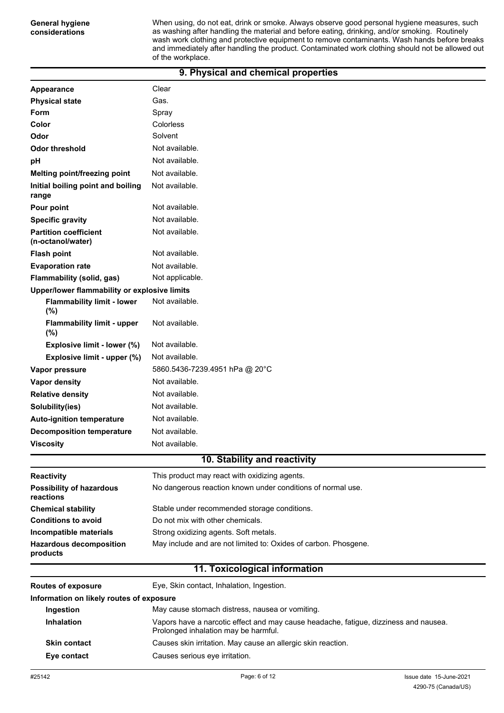When using, do not eat, drink or smoke. Always observe good personal hygiene measures, such as washing after handling the material and before eating, drinking, and/or smoking. Routinely wash work clothing and protective equipment to remove contaminants. Wash hands before breaks and immediately after handling the product. Contaminated work clothing should not be allowed out of the workplace.

## **9. Physical and chemical properties**

| Appearance                                        | Clear                                                           |
|---------------------------------------------------|-----------------------------------------------------------------|
| <b>Physical state</b>                             | Gas.                                                            |
| <b>Form</b>                                       | Spray                                                           |
| Color                                             | Colorless                                                       |
| Odor                                              | Solvent                                                         |
| <b>Odor threshold</b>                             | Not available.                                                  |
| pH                                                | Not available.                                                  |
| Melting point/freezing point                      | Not available.                                                  |
| Initial boiling point and boiling<br>range        | Not available.                                                  |
| Pour point                                        | Not available.                                                  |
| <b>Specific gravity</b>                           | Not available.                                                  |
| <b>Partition coefficient</b><br>(n-octanol/water) | Not available.                                                  |
| <b>Flash point</b>                                | Not available.                                                  |
| <b>Evaporation rate</b>                           | Not available.                                                  |
| Flammability (solid, gas)                         | Not applicable.                                                 |
| Upper/lower flammability or explosive limits      |                                                                 |
| <b>Flammability limit - lower</b><br>(%)          | Not available.                                                  |
| <b>Flammability limit - upper</b><br>(%)          | Not available.                                                  |
| Explosive limit - lower (%)                       | Not available.                                                  |
| Explosive limit - upper (%)                       | Not available.                                                  |
| Vapor pressure                                    | 5860.5436-7239.4951 hPa @ 20°C                                  |
| Vapor density                                     | Not available.                                                  |
| <b>Relative density</b>                           | Not available.                                                  |
| Solubility(ies)                                   | Not available.                                                  |
| <b>Auto-ignition temperature</b>                  | Not available.                                                  |
| <b>Decomposition temperature</b>                  | Not available.                                                  |
| <b>Viscosity</b>                                  | Not available.                                                  |
|                                                   | 10. Stability and reactivity                                    |
| Reactivity                                        | This product may react with oxidizing agents.                   |
| <b>Possibility of hazardous</b><br>reactions      | No dangerous reaction known under conditions of normal use.     |
| <b>Chemical stability</b>                         | Stable under recommended storage conditions.                    |
| <b>Conditions to avoid</b>                        | Do not mix with other chemicals.                                |
| Incompatible materials                            | Strong oxidizing agents. Soft metals.                           |
| <b>Hazardous decomposition</b><br>products        | May include and are not limited to: Oxides of carbon. Phosgene. |
|                                                   | 11. Toxicological information                                   |
| <b>Routes of exposure</b>                         | Eye, Skin contact, Inhalation, Ingestion.                       |
| Information on likely routes of exposure          |                                                                 |
| Ingestion                                         | May cause stomach distress, nausea or vomiting.                 |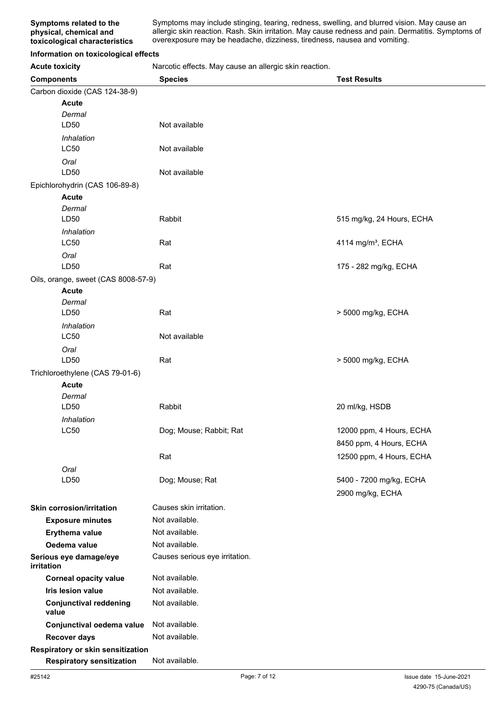Symptoms may include stinging, tearing, redness, swelling, and blurred vision. May cause an allergic skin reaction. Rash. Skin irritation. May cause redness and pain. Dermatitis. Symptoms of overexposure may be headache, dizziness, tiredness, nausea and vomiting.

#### **Information on toxicological effects**

**Acute toxicity** Narcotic effects. May cause an allergic skin reaction.

| <br><b>Components</b>                           | <b>Species</b>                 | <b>Test Results</b>           |
|-------------------------------------------------|--------------------------------|-------------------------------|
| Carbon dioxide (CAS 124-38-9)                   |                                |                               |
| <b>Acute</b>                                    |                                |                               |
| Dermal                                          |                                |                               |
| LD50                                            | Not available                  |                               |
| Inhalation                                      |                                |                               |
| LC50                                            | Not available                  |                               |
| Oral                                            |                                |                               |
| LD50                                            | Not available                  |                               |
| Epichlorohydrin (CAS 106-89-8)                  |                                |                               |
| <b>Acute</b>                                    |                                |                               |
| Dermal                                          |                                |                               |
| LD50                                            | Rabbit                         | 515 mg/kg, 24 Hours, ECHA     |
| Inhalation                                      |                                |                               |
| <b>LC50</b>                                     | Rat                            | 4114 mg/m <sup>3</sup> , ECHA |
| Oral                                            |                                |                               |
| LD50                                            | Rat                            | 175 - 282 mg/kg, ECHA         |
| Oils, orange, sweet (CAS 8008-57-9)             |                                |                               |
| <b>Acute</b>                                    |                                |                               |
| Dermal                                          |                                |                               |
| LD50                                            | Rat                            | > 5000 mg/kg, ECHA            |
| Inhalation<br><b>LC50</b>                       | Not available                  |                               |
|                                                 |                                |                               |
| Oral<br>LD50                                    | Rat                            | > 5000 mg/kg, ECHA            |
|                                                 |                                |                               |
| Trichloroethylene (CAS 79-01-6)<br><b>Acute</b> |                                |                               |
| Dermal                                          |                                |                               |
| LD50                                            | Rabbit                         | 20 ml/kg, HSDB                |
| Inhalation                                      |                                |                               |
| <b>LC50</b>                                     | Dog; Mouse; Rabbit; Rat        | 12000 ppm, 4 Hours, ECHA      |
|                                                 |                                | 8450 ppm, 4 Hours, ECHA       |
|                                                 | Rat                            | 12500 ppm, 4 Hours, ECHA      |
| Oral                                            |                                |                               |
| LD50                                            | Dog; Mouse; Rat                | 5400 - 7200 mg/kg, ECHA       |
|                                                 |                                | 2900 mg/kg, ECHA              |
|                                                 |                                |                               |
| <b>Skin corrosion/irritation</b>                | Causes skin irritation.        |                               |
| <b>Exposure minutes</b>                         | Not available.                 |                               |
| Erythema value                                  | Not available.                 |                               |
| Oedema value                                    | Not available.                 |                               |
| Serious eye damage/eye<br>irritation            | Causes serious eye irritation. |                               |
| <b>Corneal opacity value</b>                    | Not available.                 |                               |
| Iris lesion value                               | Not available.                 |                               |
| <b>Conjunctival reddening</b><br>value          | Not available.                 |                               |
| Conjunctival oedema value                       | Not available.                 |                               |
| <b>Recover days</b>                             | Not available.                 |                               |
| Respiratory or skin sensitization               |                                |                               |
| <b>Respiratory sensitization</b>                | Not available.                 |                               |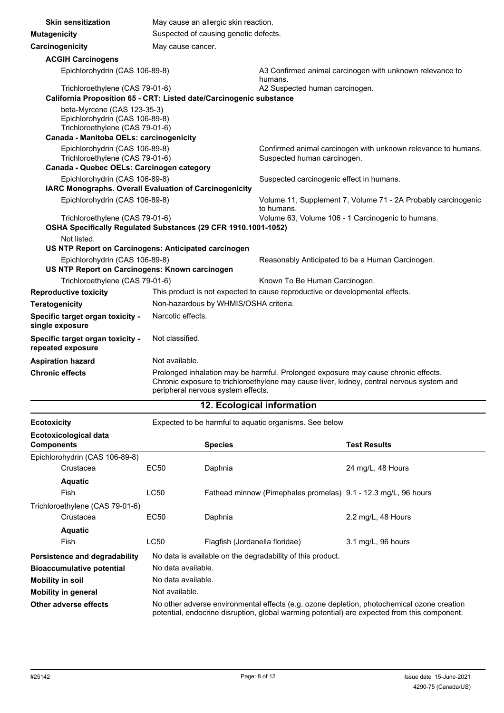| <b>Skin sensitization</b>                                                                                                                                                                                                                       | May cause an allergic skin reaction.                                |                                                                                              |  |
|-------------------------------------------------------------------------------------------------------------------------------------------------------------------------------------------------------------------------------------------------|---------------------------------------------------------------------|----------------------------------------------------------------------------------------------|--|
| <b>Mutagenicity</b>                                                                                                                                                                                                                             | Suspected of causing genetic defects.                               |                                                                                              |  |
| Carcinogenicity                                                                                                                                                                                                                                 | May cause cancer.                                                   |                                                                                              |  |
| <b>ACGIH Carcinogens</b>                                                                                                                                                                                                                        |                                                                     |                                                                                              |  |
| Epichlorohydrin (CAS 106-89-8)                                                                                                                                                                                                                  |                                                                     | A3 Confirmed animal carcinogen with unknown relevance to<br>humans.                          |  |
| Trichloroethylene (CAS 79-01-6)                                                                                                                                                                                                                 |                                                                     | A2 Suspected human carcinogen.                                                               |  |
|                                                                                                                                                                                                                                                 | California Proposition 65 - CRT: Listed date/Carcinogenic substance |                                                                                              |  |
| beta-Myrcene (CAS 123-35-3)<br>Epichlorohydrin (CAS 106-89-8)<br>Trichloroethylene (CAS 79-01-6)                                                                                                                                                |                                                                     |                                                                                              |  |
| Canada - Manitoba OELs: carcinogenicity                                                                                                                                                                                                         |                                                                     |                                                                                              |  |
| Epichlorohydrin (CAS 106-89-8)<br>Trichloroethylene (CAS 79-01-6)                                                                                                                                                                               |                                                                     | Confirmed animal carcinogen with unknown relevance to humans.<br>Suspected human carcinogen. |  |
| Canada - Quebec OELs: Carcinogen category                                                                                                                                                                                                       |                                                                     |                                                                                              |  |
| Epichlorohydrin (CAS 106-89-8)<br>IARC Monographs. Overall Evaluation of Carcinogenicity                                                                                                                                                        |                                                                     | Suspected carcinogenic effect in humans.                                                     |  |
| Epichlorohydrin (CAS 106-89-8)                                                                                                                                                                                                                  |                                                                     | Volume 11, Supplement 7, Volume 71 - 2A Probably carcinogenic<br>to humans.                  |  |
| Trichloroethylene (CAS 79-01-6)<br>OSHA Specifically Regulated Substances (29 CFR 1910.1001-1052)                                                                                                                                               |                                                                     | Volume 63, Volume 106 - 1 Carcinogenic to humans.                                            |  |
| Not listed.<br>US NTP Report on Carcinogens: Anticipated carcinogen                                                                                                                                                                             |                                                                     |                                                                                              |  |
| Epichlorohydrin (CAS 106-89-8)<br>US NTP Report on Carcinogens: Known carcinogen                                                                                                                                                                |                                                                     | Reasonably Anticipated to be a Human Carcinogen.                                             |  |
| Trichloroethylene (CAS 79-01-6)<br>Known To Be Human Carcinogen.                                                                                                                                                                                |                                                                     |                                                                                              |  |
| <b>Reproductive toxicity</b>                                                                                                                                                                                                                    |                                                                     | This product is not expected to cause reproductive or developmental effects.                 |  |
| <b>Teratogenicity</b>                                                                                                                                                                                                                           | Non-hazardous by WHMIS/OSHA criteria.                               |                                                                                              |  |
| Specific target organ toxicity -<br>single exposure                                                                                                                                                                                             | Narcotic effects.                                                   |                                                                                              |  |
| Specific target organ toxicity -<br>repeated exposure                                                                                                                                                                                           | Not classified.                                                     |                                                                                              |  |
| <b>Aspiration hazard</b>                                                                                                                                                                                                                        | Not available.                                                      |                                                                                              |  |
| <b>Chronic effects</b><br>Prolonged inhalation may be harmful. Prolonged exposure may cause chronic effects.<br>Chronic exposure to trichloroethylene may cause liver, kidney, central nervous system and<br>peripheral nervous system effects. |                                                                     |                                                                                              |  |
|                                                                                                                                                                                                                                                 |                                                                     | 12. Ecological information                                                                   |  |

| Expected to be harmful to aquatic organisms. See below<br><b>Ecotoxicity</b> |      |                                                                                                                                                                                            |                               |
|------------------------------------------------------------------------------|------|--------------------------------------------------------------------------------------------------------------------------------------------------------------------------------------------|-------------------------------|
| Ecotoxicological data<br><b>Components</b>                                   |      | <b>Species</b>                                                                                                                                                                             | <b>Test Results</b>           |
| Epichlorohydrin (CAS 106-89-8)                                               |      |                                                                                                                                                                                            |                               |
| Crustacea                                                                    | EC50 | Daphnia                                                                                                                                                                                    | 24 mg/L, 48 Hours             |
| <b>Aquatic</b>                                                               |      |                                                                                                                                                                                            |                               |
| <b>Fish</b>                                                                  | LC50 | Fathead minnow (Pimephales promelas) 9.1 - 12.3 mg/L, 96 hours                                                                                                                             |                               |
| Trichloroethylene (CAS 79-01-6)                                              |      |                                                                                                                                                                                            |                               |
| Crustacea                                                                    | EC50 | Daphnia                                                                                                                                                                                    | 2.2 mg/L, 48 Hours            |
| <b>Aquatic</b>                                                               |      |                                                                                                                                                                                            |                               |
| <b>Fish</b>                                                                  | LC50 | Flagfish (Jordanella floridae)                                                                                                                                                             | $3.1 \text{ mg/L}$ , 96 hours |
| Persistence and degradability                                                |      | No data is available on the degradability of this product.                                                                                                                                 |                               |
| No data available.<br><b>Bioaccumulative potential</b>                       |      |                                                                                                                                                                                            |                               |
| No data available.<br>Mobility in soil                                       |      |                                                                                                                                                                                            |                               |
| Not available.<br><b>Mobility in general</b>                                 |      |                                                                                                                                                                                            |                               |
| Other adverse effects                                                        |      | No other adverse environmental effects (e.g. ozone depletion, photochemical ozone creation<br>potential, endocrine disruption, global warming potential) are expected from this component. |                               |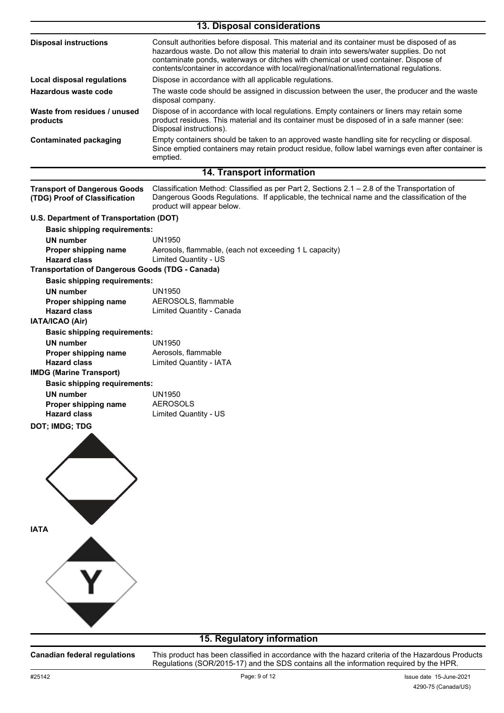| 13. Disposal considerations                                          |                                                                                                                                                                                                                                                                                                                                                                           |  |  |
|----------------------------------------------------------------------|---------------------------------------------------------------------------------------------------------------------------------------------------------------------------------------------------------------------------------------------------------------------------------------------------------------------------------------------------------------------------|--|--|
| <b>Disposal instructions</b>                                         | Consult authorities before disposal. This material and its container must be disposed of as<br>hazardous waste. Do not allow this material to drain into sewers/water supplies. Do not<br>contaminate ponds, waterways or ditches with chemical or used container. Dispose of<br>contents/container in accordance with local/regional/national/international regulations. |  |  |
| Local disposal regulations                                           | Dispose in accordance with all applicable regulations.                                                                                                                                                                                                                                                                                                                    |  |  |
| Hazardous waste code                                                 | The waste code should be assigned in discussion between the user, the producer and the waste<br>disposal company.                                                                                                                                                                                                                                                         |  |  |
| Waste from residues / unused<br>products                             | Dispose of in accordance with local regulations. Empty containers or liners may retain some<br>product residues. This material and its container must be disposed of in a safe manner (see:<br>Disposal instructions).                                                                                                                                                    |  |  |
| <b>Contaminated packaging</b>                                        | Empty containers should be taken to an approved waste handling site for recycling or disposal.<br>Since emptied containers may retain product residue, follow label warnings even after container is<br>emptied.                                                                                                                                                          |  |  |
|                                                                      | 14. Transport information                                                                                                                                                                                                                                                                                                                                                 |  |  |
| <b>Transport of Dangerous Goods</b><br>(TDG) Proof of Classification | Classification Method: Classified as per Part 2, Sections $2.1 - 2.8$ of the Transportation of<br>Dangerous Goods Regulations. If applicable, the technical name and the classification of the<br>product will appear below.                                                                                                                                              |  |  |
| U.S. Department of Transportation (DOT)                              |                                                                                                                                                                                                                                                                                                                                                                           |  |  |
| <b>Basic shipping requirements:</b>                                  |                                                                                                                                                                                                                                                                                                                                                                           |  |  |
| <b>UN number</b>                                                     | UN1950                                                                                                                                                                                                                                                                                                                                                                    |  |  |
| Proper shipping name                                                 | Aerosols, flammable, (each not exceeding 1 L capacity)                                                                                                                                                                                                                                                                                                                    |  |  |
| <b>Hazard class</b>                                                  | <b>Limited Quantity - US</b>                                                                                                                                                                                                                                                                                                                                              |  |  |
| <b>Transportation of Dangerous Goods (TDG - Canada)</b>              |                                                                                                                                                                                                                                                                                                                                                                           |  |  |
| <b>Basic shipping requirements:</b>                                  |                                                                                                                                                                                                                                                                                                                                                                           |  |  |
| UN number                                                            | UN1950                                                                                                                                                                                                                                                                                                                                                                    |  |  |
| Proper shipping name<br><b>Hazard class</b>                          | AEROSOLS, flammable<br>Limited Quantity - Canada                                                                                                                                                                                                                                                                                                                          |  |  |
| <b>IATA/ICAO (Air)</b>                                               |                                                                                                                                                                                                                                                                                                                                                                           |  |  |
| <b>Basic shipping requirements:</b>                                  |                                                                                                                                                                                                                                                                                                                                                                           |  |  |
| <b>UN number</b>                                                     | <b>UN1950</b>                                                                                                                                                                                                                                                                                                                                                             |  |  |
| Proper shipping name                                                 | Aerosols, flammable                                                                                                                                                                                                                                                                                                                                                       |  |  |
| <b>Hazard class</b>                                                  | <b>Limited Quantity - IATA</b>                                                                                                                                                                                                                                                                                                                                            |  |  |
| <b>IMDG (Marine Transport)</b>                                       |                                                                                                                                                                                                                                                                                                                                                                           |  |  |
| <b>Basic shipping requirements:</b>                                  |                                                                                                                                                                                                                                                                                                                                                                           |  |  |
| UN number                                                            | UN1950                                                                                                                                                                                                                                                                                                                                                                    |  |  |
| Proper shipping name<br><b>Hazard class</b>                          | <b>AEROSOLS</b><br><b>Limited Quantity - US</b>                                                                                                                                                                                                                                                                                                                           |  |  |
| DOT; IMDG; TDG                                                       |                                                                                                                                                                                                                                                                                                                                                                           |  |  |
| <b>IATA</b>                                                          |                                                                                                                                                                                                                                                                                                                                                                           |  |  |
|                                                                      | 15. Regulatory information                                                                                                                                                                                                                                                                                                                                                |  |  |
|                                                                      |                                                                                                                                                                                                                                                                                                                                                                           |  |  |

**Canadian federal regulations**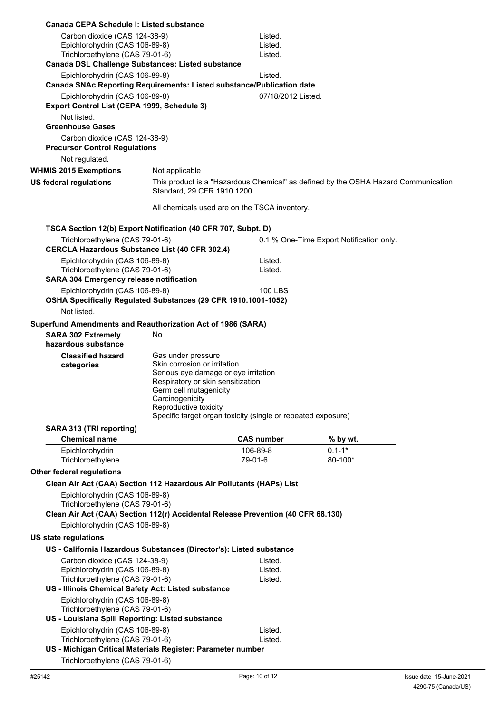| Canada CEPA Schedule I: Listed substance                                                                           |                                                                                                                                                                              |                               |                                                                                    |
|--------------------------------------------------------------------------------------------------------------------|------------------------------------------------------------------------------------------------------------------------------------------------------------------------------|-------------------------------|------------------------------------------------------------------------------------|
| Carbon dioxide (CAS 124-38-9)<br>Epichlorohydrin (CAS 106-89-8)<br>Trichloroethylene (CAS 79-01-6)                 |                                                                                                                                                                              | Listed.<br>Listed.<br>Listed. |                                                                                    |
| Canada DSL Challenge Substances: Listed substance                                                                  |                                                                                                                                                                              |                               |                                                                                    |
| Epichlorohydrin (CAS 106-89-8)<br>Canada SNAc Reporting Requirements: Listed substance/Publication date            |                                                                                                                                                                              | Listed.                       |                                                                                    |
| Epichlorohydrin (CAS 106-89-8)<br>Export Control List (CEPA 1999, Schedule 3)                                      |                                                                                                                                                                              | 07/18/2012 Listed.            |                                                                                    |
| Not listed.                                                                                                        |                                                                                                                                                                              |                               |                                                                                    |
| <b>Greenhouse Gases</b>                                                                                            |                                                                                                                                                                              |                               |                                                                                    |
| Carbon dioxide (CAS 124-38-9)<br><b>Precursor Control Regulations</b>                                              |                                                                                                                                                                              |                               |                                                                                    |
| Not regulated.                                                                                                     |                                                                                                                                                                              |                               |                                                                                    |
| <b>WHMIS 2015 Exemptions</b>                                                                                       | Not applicable                                                                                                                                                               |                               |                                                                                    |
| <b>US federal regulations</b>                                                                                      | Standard, 29 CFR 1910.1200.                                                                                                                                                  |                               | This product is a "Hazardous Chemical" as defined by the OSHA Hazard Communication |
|                                                                                                                    | All chemicals used are on the TSCA inventory.                                                                                                                                |                               |                                                                                    |
| TSCA Section 12(b) Export Notification (40 CFR 707, Subpt. D)                                                      |                                                                                                                                                                              |                               |                                                                                    |
| Trichloroethylene (CAS 79-01-6)<br><b>CERCLA Hazardous Substance List (40 CFR 302.4)</b>                           |                                                                                                                                                                              |                               | 0.1 % One-Time Export Notification only.                                           |
| Epichlorohydrin (CAS 106-89-8)<br>Trichloroethylene (CAS 79-01-6)                                                  |                                                                                                                                                                              | Listed.<br>Listed.            |                                                                                    |
| <b>SARA 304 Emergency release notification</b>                                                                     |                                                                                                                                                                              |                               |                                                                                    |
| Epichlorohydrin (CAS 106-89-8)<br>OSHA Specifically Regulated Substances (29 CFR 1910.1001-1052)                   |                                                                                                                                                                              | 100 LBS                       |                                                                                    |
| Not listed.                                                                                                        |                                                                                                                                                                              |                               |                                                                                    |
| Superfund Amendments and Reauthorization Act of 1986 (SARA)<br><b>SARA 302 Extremely</b>                           | No                                                                                                                                                                           |                               |                                                                                    |
| hazardous substance                                                                                                |                                                                                                                                                                              |                               |                                                                                    |
| <b>Classified hazard</b><br>categories                                                                             | Gas under pressure<br>Skin corrosion or irritation<br>Serious eye damage or eye irritation<br>Respiratory or skin sensitization<br>Germ cell mutagenicity<br>Carcinogenicity |                               |                                                                                    |
|                                                                                                                    | Reproductive toxicity<br>Specific target organ toxicity (single or repeated exposure)                                                                                        |                               |                                                                                    |
| SARA 313 (TRI reporting)                                                                                           |                                                                                                                                                                              |                               |                                                                                    |
| <b>Chemical name</b>                                                                                               |                                                                                                                                                                              | <b>CAS number</b>             | % by wt.                                                                           |
| Epichlorohydrin                                                                                                    |                                                                                                                                                                              | 106-89-8                      | $0.1 - 1*$                                                                         |
| Trichloroethylene                                                                                                  |                                                                                                                                                                              | 79-01-6                       | 80-100*                                                                            |
| <b>Other federal regulations</b>                                                                                   |                                                                                                                                                                              |                               |                                                                                    |
| Clean Air Act (CAA) Section 112 Hazardous Air Pollutants (HAPs) List                                               |                                                                                                                                                                              |                               |                                                                                    |
| Epichlorohydrin (CAS 106-89-8)<br>Trichloroethylene (CAS 79-01-6)                                                  |                                                                                                                                                                              |                               |                                                                                    |
| Clean Air Act (CAA) Section 112(r) Accidental Release Prevention (40 CFR 68.130)<br>Epichlorohydrin (CAS 106-89-8) |                                                                                                                                                                              |                               |                                                                                    |
| <b>US state regulations</b>                                                                                        |                                                                                                                                                                              |                               |                                                                                    |
| US - California Hazardous Substances (Director's): Listed substance                                                |                                                                                                                                                                              |                               |                                                                                    |
| Carbon dioxide (CAS 124-38-9)                                                                                      |                                                                                                                                                                              | Listed.                       |                                                                                    |
| Epichlorohydrin (CAS 106-89-8)                                                                                     |                                                                                                                                                                              | Listed.                       |                                                                                    |
| Trichloroethylene (CAS 79-01-6)                                                                                    |                                                                                                                                                                              | Listed.                       |                                                                                    |
| US - Illinois Chemical Safety Act: Listed substance<br>Epichlorohydrin (CAS 106-89-8)                              |                                                                                                                                                                              |                               |                                                                                    |
| Trichloroethylene (CAS 79-01-6)<br>US - Louisiana Spill Reporting: Listed substance                                |                                                                                                                                                                              |                               |                                                                                    |
|                                                                                                                    |                                                                                                                                                                              |                               |                                                                                    |
| Epichlorohydrin (CAS 106-89-8)<br>Trichloroethylene (CAS 79-01-6)                                                  |                                                                                                                                                                              | Listed.<br>Listed.            |                                                                                    |
| US - Michigan Critical Materials Register: Parameter number                                                        |                                                                                                                                                                              |                               |                                                                                    |
| Trichloroethylene (CAS 79-01-6)                                                                                    |                                                                                                                                                                              |                               |                                                                                    |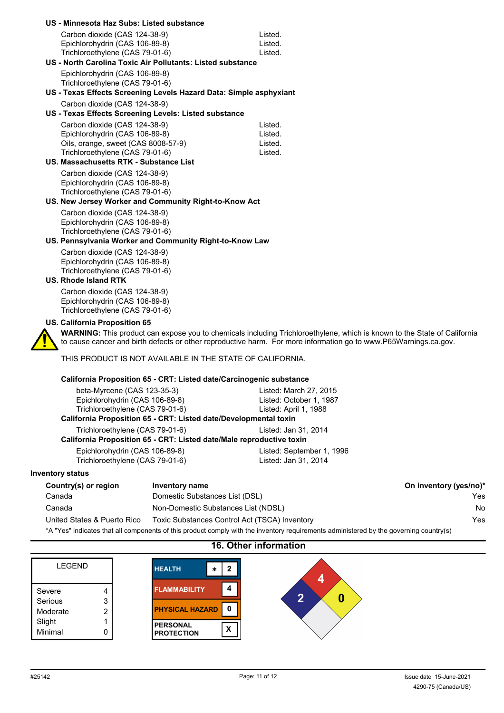| US - Minnesota Haz Subs: Listed substance                              |                                                                                                                                                                                                                                              |
|------------------------------------------------------------------------|----------------------------------------------------------------------------------------------------------------------------------------------------------------------------------------------------------------------------------------------|
| Carbon dioxide (CAS 124-38-9)                                          | Listed.                                                                                                                                                                                                                                      |
| Epichlorohydrin (CAS 106-89-8)                                         | Listed.                                                                                                                                                                                                                                      |
| Trichloroethylene (CAS 79-01-6)                                        | Listed.                                                                                                                                                                                                                                      |
| US - North Carolina Toxic Air Pollutants: Listed substance             |                                                                                                                                                                                                                                              |
| Epichlorohydrin (CAS 106-89-8)                                         |                                                                                                                                                                                                                                              |
| Trichloroethylene (CAS 79-01-6)                                        |                                                                                                                                                                                                                                              |
| US - Texas Effects Screening Levels Hazard Data: Simple asphyxiant     |                                                                                                                                                                                                                                              |
| Carbon dioxide (CAS 124-38-9)                                          |                                                                                                                                                                                                                                              |
| US - Texas Effects Screening Levels: Listed substance                  |                                                                                                                                                                                                                                              |
| Carbon dioxide (CAS 124-38-9)                                          | Listed.                                                                                                                                                                                                                                      |
| Epichlorohydrin (CAS 106-89-8)                                         | Listed.                                                                                                                                                                                                                                      |
| Oils, orange, sweet (CAS 8008-57-9)<br>Trichloroethylene (CAS 79-01-6) | Listed.<br>Listed.                                                                                                                                                                                                                           |
| <b>US. Massachusetts RTK - Substance List</b>                          |                                                                                                                                                                                                                                              |
| Carbon dioxide (CAS 124-38-9)                                          |                                                                                                                                                                                                                                              |
| Epichlorohydrin (CAS 106-89-8)                                         |                                                                                                                                                                                                                                              |
| Trichloroethylene (CAS 79-01-6)                                        |                                                                                                                                                                                                                                              |
| US. New Jersey Worker and Community Right-to-Know Act                  |                                                                                                                                                                                                                                              |
| Carbon dioxide (CAS 124-38-9)                                          |                                                                                                                                                                                                                                              |
| Epichlorohydrin (CAS 106-89-8)                                         |                                                                                                                                                                                                                                              |
| Trichloroethylene (CAS 79-01-6)                                        |                                                                                                                                                                                                                                              |
| US. Pennsylvania Worker and Community Right-to-Know Law                |                                                                                                                                                                                                                                              |
| Carbon dioxide (CAS 124-38-9)                                          |                                                                                                                                                                                                                                              |
| Epichlorohydrin (CAS 106-89-8)                                         |                                                                                                                                                                                                                                              |
| Trichloroethylene (CAS 79-01-6)                                        |                                                                                                                                                                                                                                              |
| <b>US. Rhode Island RTK</b>                                            |                                                                                                                                                                                                                                              |
| Carbon dioxide (CAS 124-38-9)                                          |                                                                                                                                                                                                                                              |
| Epichlorohydrin (CAS 106-89-8)<br>Trichloroethylene (CAS 79-01-6)      |                                                                                                                                                                                                                                              |
|                                                                        |                                                                                                                                                                                                                                              |
| US. California Proposition 65                                          |                                                                                                                                                                                                                                              |
|                                                                        | WARNING: This product can expose you to chemicals including Trichloroethylene, which is known to the State of California<br>to cause cancer and birth defects or other reproductive harm. For more information go to www.P65Warnings.ca.gov. |
| THIS PRODUCT IS NOT AVAILABLE IN THE STATE OF CALIFORNIA.              |                                                                                                                                                                                                                                              |
| California Proposition 65 - CRT: Listed date/Carcinogenic substance    |                                                                                                                                                                                                                                              |
| beta-Myrcene (CAS 123-35-3)                                            | Listed: March 27, 2015                                                                                                                                                                                                                       |
| Epichlorohydrin (CAS 106-89-8)                                         | Listed: October 1, 1987                                                                                                                                                                                                                      |

| Trichloroethylene (CAS 79-01-6)                                      | Listed: April 1, 1988     |  |
|----------------------------------------------------------------------|---------------------------|--|
| California Proposition 65 - CRT: Listed date/Developmental toxin     |                           |  |
| Trichloroethylene (CAS 79-01-6)                                      | Listed: Jan 31, 2014      |  |
| California Proposition 65 - CRT: Listed date/Male reproductive toxin |                           |  |
| Epichlorohydrin (CAS 106-89-8)                                       | Listed: September 1, 1996 |  |
| Trichloroethylene (CAS 79-01-6)                                      | Listed: Jan 31, 2014      |  |
|                                                                      |                           |  |

## **Inventory status**

| Country(s) or region                                                                                                                   | Inventory name                                | On inventory (yes/no)* |
|----------------------------------------------------------------------------------------------------------------------------------------|-----------------------------------------------|------------------------|
| Canada                                                                                                                                 | Domestic Substances List (DSL)                | Yes.                   |
| Canada                                                                                                                                 | Non-Domestic Substances List (NDSL)           | No.                    |
| United States & Puerto Rico                                                                                                            | Toxic Substances Control Act (TSCA) Inventory | Yes                    |
| *A "Yes" indicates that all components of this product comply with the inventory requirements administered by the governing country(s) |                                               |                        |